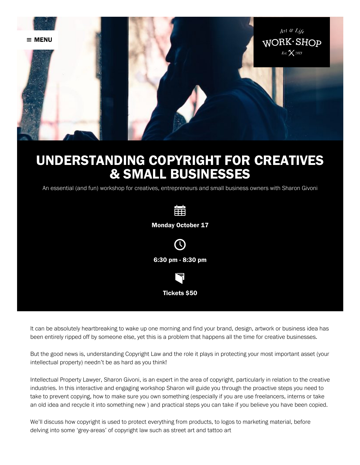

# UNDERSTANDING COPYRIGHT FOR CREATIVES **& SMALL BUSINESSES**

An essential (and fun) workshop for creatives, entrepreneurs and small business owners with Sharon Givoni



It can be absolutely heartbreaking to wake up one morning and find your brand, design, artwork or business idea has been entirely ripped off by someone else, yet this is a problem that happens all the time for creative businesses.

But the good news is, understanding Copyright Law and the role it plays in protecting your most important asset (your intellectual property) needn't be as hard as you think!

Intellectual Property Lawyer, Sharon Givoni, is an expert in the area of copyright, particularly in relation to the creative industries. In this interactive and engaging workshop Sharon will guide you through the proactive steps you need to take to prevent copying, how to make sure you own something (especially if you are use freelancers, interns or take an old idea and recycle it into something new) and practical steps you can take if you believe you have been copied.

We'll discuss how copyright is used to protect everything from products, to logos to marketing material, before delving into some 'grey-areas' of copyright law such as street art and tattoo art